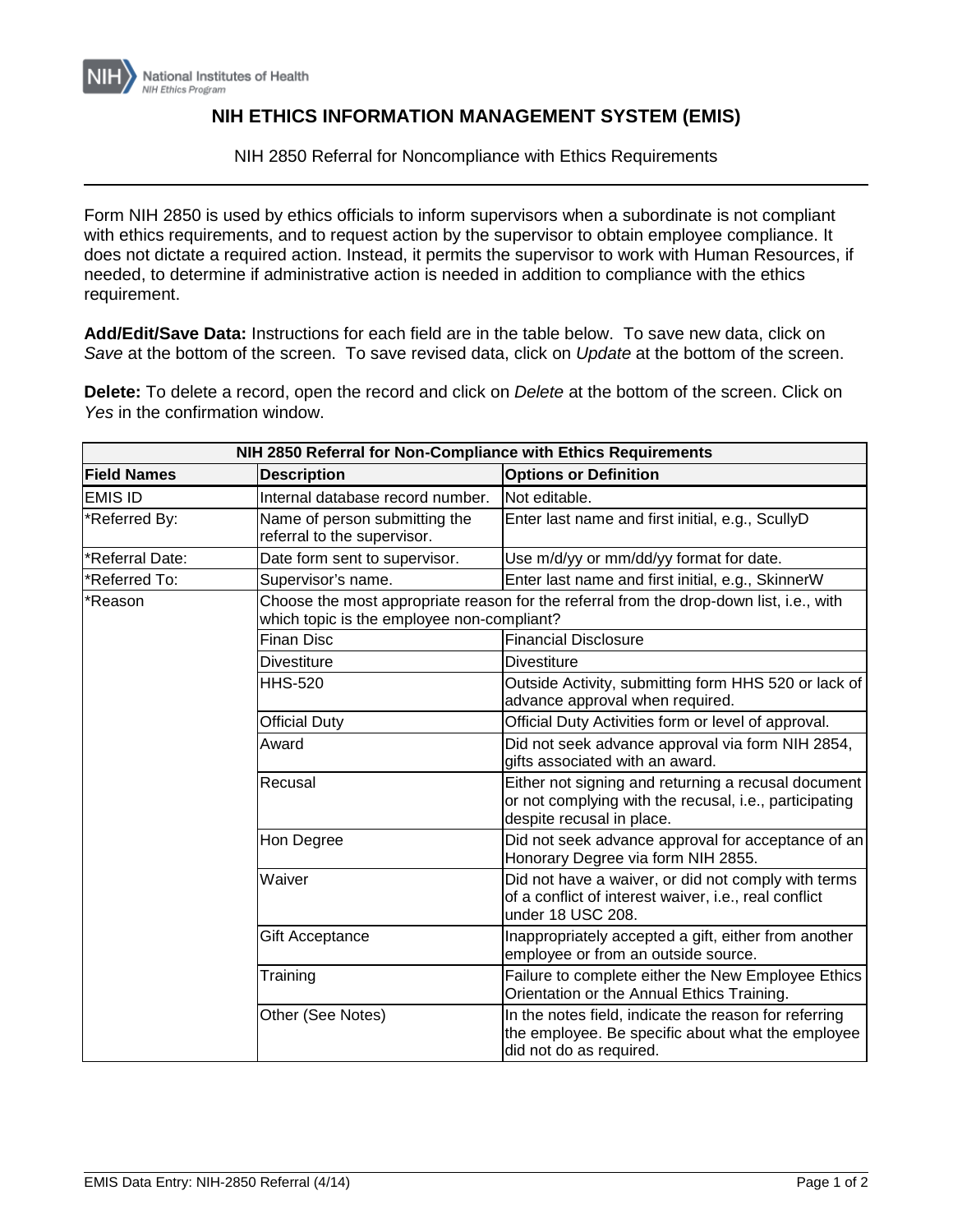

## **NIH ETHICS INFORMATION MANAGEMENT SYSTEM (EMIS)**

NIH 2850 Referral for Noncompliance with Ethics Requirements

Form NIH 2850 is used by ethics officials to inform supervisors when a subordinate is not compliant with ethics requirements, and to request action by the supervisor to obtain employee compliance. It does not dictate a required action. Instead, it permits the supervisor to work with Human Resources, if needed, to determine if administrative action is needed in addition to compliance with the ethics requirement.

**Add/Edit/Save Data:** Instructions for each field are in the table below. To save new data, click on *Save* at the bottom of the screen. To save revised data, click on *Update* at the bottom of the screen.

**Delete:** To delete a record, open the record and click on *Delete* at the bottom of the screen. Click on *Yes* in the confirmation window.

| NIH 2850 Referral for Non-Compliance with Ethics Requirements |                                                                                                                                       |                                                                                                                                            |  |
|---------------------------------------------------------------|---------------------------------------------------------------------------------------------------------------------------------------|--------------------------------------------------------------------------------------------------------------------------------------------|--|
| <b>Field Names</b>                                            | <b>Description</b>                                                                                                                    | <b>Options or Definition</b>                                                                                                               |  |
| <b>EMIS ID</b>                                                | Internal database record number.                                                                                                      | Not editable.                                                                                                                              |  |
| *Referred By:                                                 | Name of person submitting the<br>referral to the supervisor.                                                                          | Enter last name and first initial, e.g., ScullyD                                                                                           |  |
| *Referral Date:                                               | Date form sent to supervisor.                                                                                                         | Use m/d/yy or mm/dd/yy format for date.                                                                                                    |  |
| *Referred To:                                                 | Supervisor's name.                                                                                                                    | Enter last name and first initial, e.g., SkinnerW                                                                                          |  |
| Reason <sup>.</sup>                                           | Choose the most appropriate reason for the referral from the drop-down list, i.e., with<br>which topic is the employee non-compliant? |                                                                                                                                            |  |
|                                                               | <b>Finan Disc</b>                                                                                                                     | <b>Financial Disclosure</b>                                                                                                                |  |
|                                                               | Divestiture                                                                                                                           | <b>Divestiture</b>                                                                                                                         |  |
|                                                               | <b>HHS-520</b>                                                                                                                        | Outside Activity, submitting form HHS 520 or lack of<br>advance approval when required.                                                    |  |
|                                                               | <b>Official Duty</b>                                                                                                                  | Official Duty Activities form or level of approval.                                                                                        |  |
|                                                               | Award                                                                                                                                 | Did not seek advance approval via form NIH 2854,<br>gifts associated with an award.                                                        |  |
|                                                               | Recusal                                                                                                                               | Either not signing and returning a recusal document<br>or not complying with the recusal, i.e., participating<br>despite recusal in place. |  |
|                                                               | Hon Degree                                                                                                                            | Did not seek advance approval for acceptance of an<br>Honorary Degree via form NIH 2855.                                                   |  |
|                                                               | Waiver                                                                                                                                | Did not have a waiver, or did not comply with terms<br>of a conflict of interest waiver, i.e., real conflict<br>under 18 USC 208.          |  |
|                                                               | Gift Acceptance                                                                                                                       | Inappropriately accepted a gift, either from another<br>employee or from an outside source.                                                |  |
|                                                               | Training                                                                                                                              | Failure to complete either the New Employee Ethics<br>Orientation or the Annual Ethics Training.                                           |  |
|                                                               | Other (See Notes)                                                                                                                     | In the notes field, indicate the reason for referring<br>the employee. Be specific about what the employee<br>did not do as required.      |  |